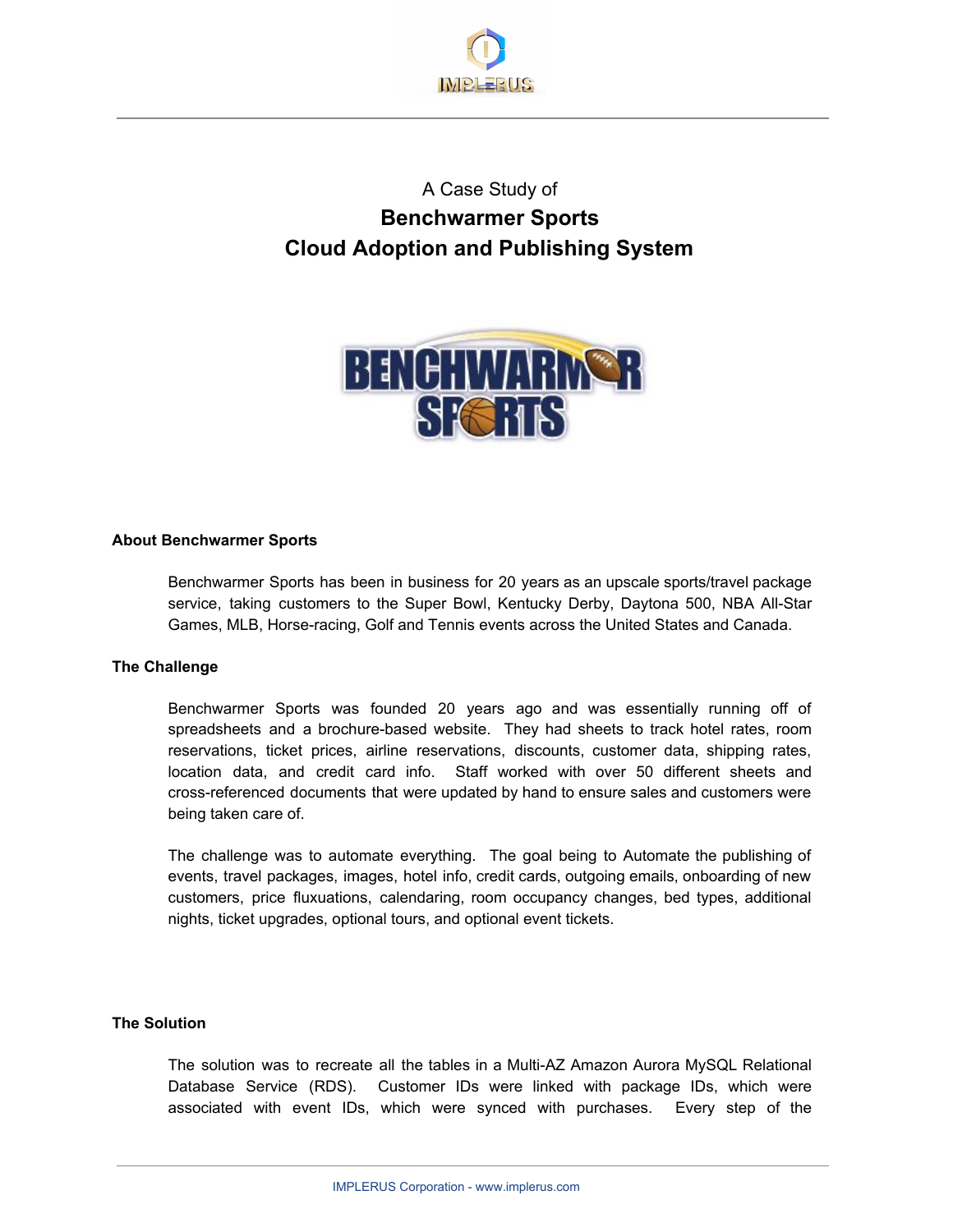

# A Case Study of **Benchwarmer Sports Cloud Adoption and Publishing System**



### **About Benchwarmer Sports**

Benchwarmer Sports has been in business for 20 years as an upscale sports/travel package service, taking customers to the Super Bowl, Kentucky Derby, Daytona 500, NBA All-Star Games, MLB, Horse-racing, Golf and Tennis events across the United States and Canada.

## **The Challenge**

Benchwarmer Sports was founded 20 years ago and was essentially running off of spreadsheets and a brochure-based website. They had sheets to track hotel rates, room reservations, ticket prices, airline reservations, discounts, customer data, shipping rates, location data, and credit card info. Staff worked with over 50 different sheets and cross-referenced documents that were updated by hand to ensure sales and customers were being taken care of.

The challenge was to automate everything. The goal being to Automate the publishing of events, travel packages, images, hotel info, credit cards, outgoing emails, onboarding of new customers, price fluxuations, calendaring, room occupancy changes, bed types, additional nights, ticket upgrades, optional tours, and optional event tickets.

### **The Solution**

The solution was to recreate all the tables in a Multi-AZ Amazon Aurora MySQL Relational Database Service (RDS). Customer IDs were linked with package IDs, which were associated with event IDs, which were synced with purchases. Every step of the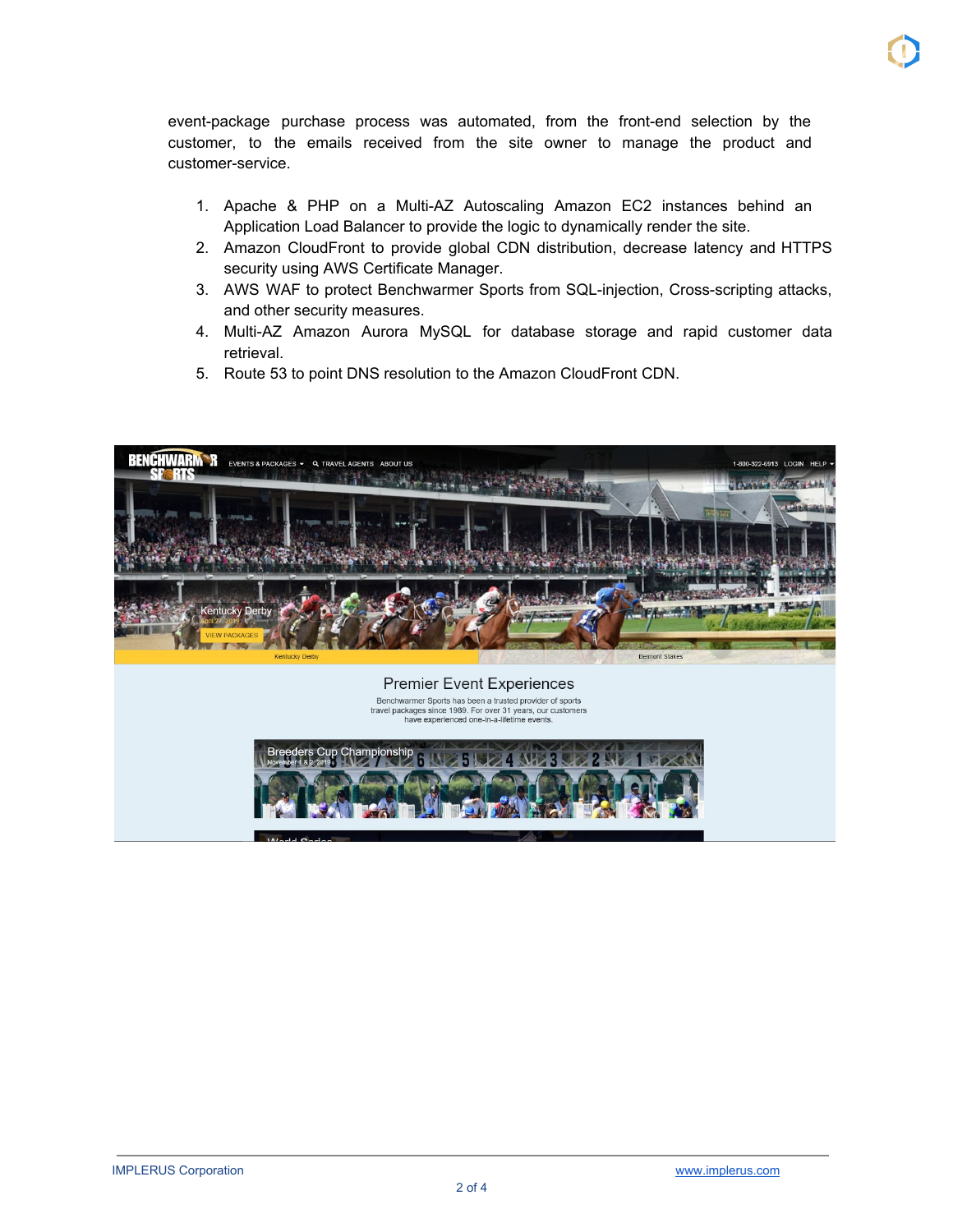event-package purchase process was automated, from the front-end selection by the customer, to the emails received from the site owner to manage the product and customer-service.

- 1. Apache & PHP on a Multi-AZ Autoscaling Amazon EC2 instances behind an Application Load Balancer to provide the logic to dynamically render the site.
- 2. Amazon CloudFront to provide global CDN distribution, decrease latency and HTTPS security using AWS Certificate Manager.
- 3. AWS WAF to protect Benchwarmer Sports from SQL-injection, Cross-scripting attacks, and other security measures.
- 4. Multi-AZ Amazon Aurora MySQL for database storage and rapid customer data retrieval.
- 5. Route 53 to point DNS resolution to the Amazon CloudFront CDN.

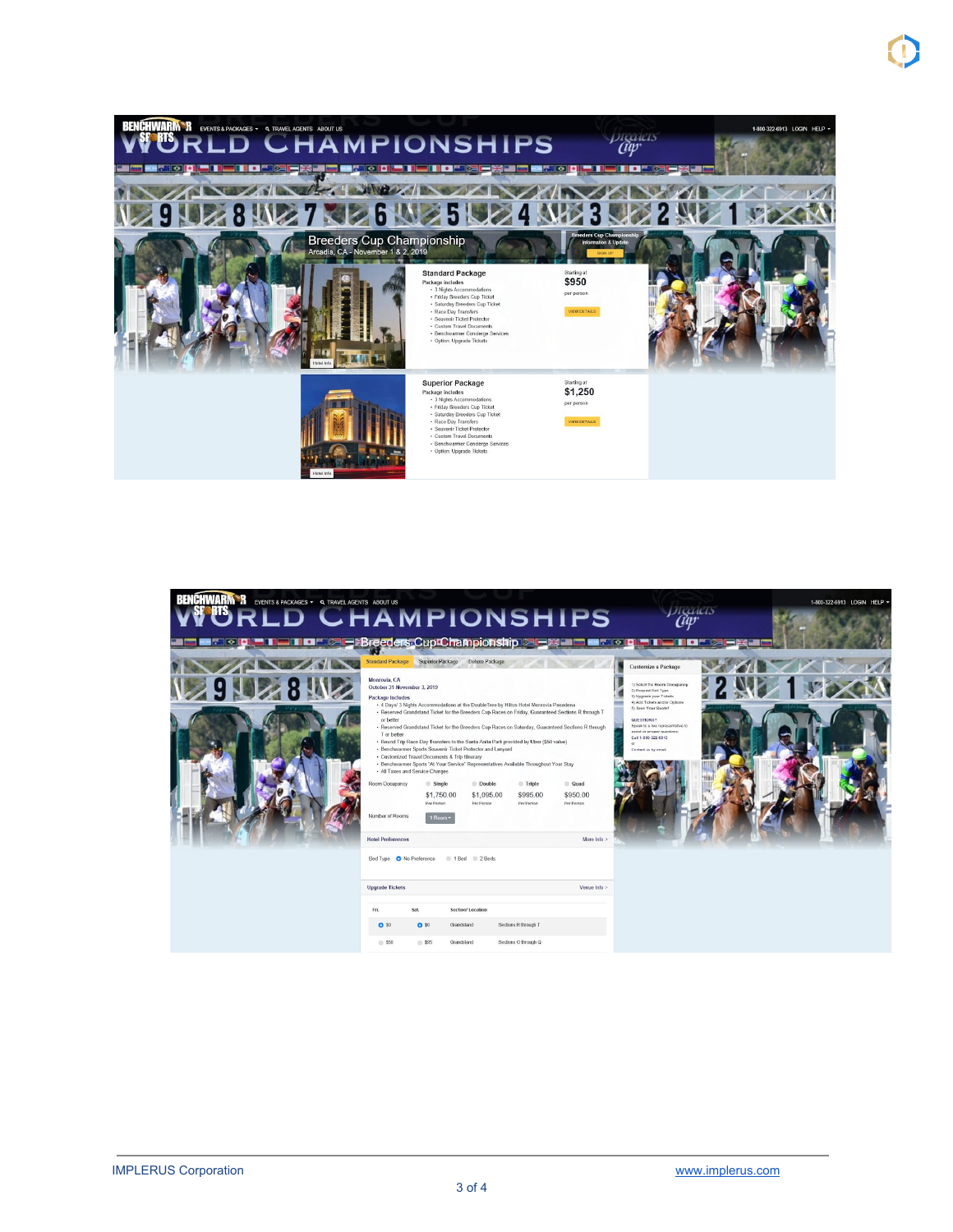